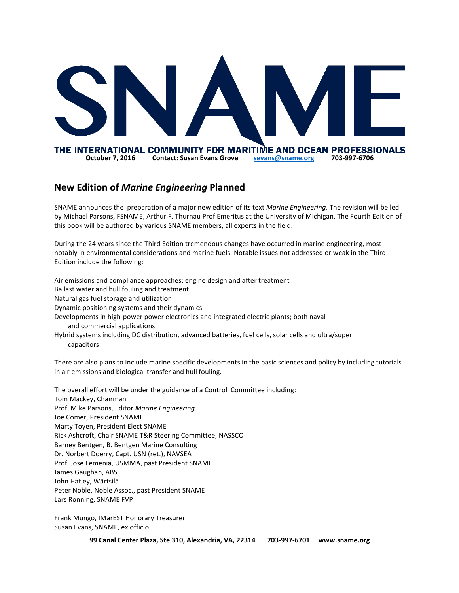

## **New Edition of** *Marine Engineering* **Planned**

SNAME announces the preparation of a major new edition of its text *Marine Engineering*. The revision will be led by Michael Parsons, FSNAME, Arthur F. Thurnau Prof Emeritus at the University of Michigan. The Fourth Edition of this book will be authored by various SNAME members, all experts in the field.

During the 24 years since the Third Edition tremendous changes have occurred in marine engineering, most notably in environmental considerations and marine fuels. Notable issues not addressed or weak in the Third Edition include the following:

Air emissions and compliance approaches: engine design and after treatment Ballast water and hull fouling and treatment Natural gas fuel storage and utilization Dynamic positioning systems and their dynamics Developments in high-power power electronics and integrated electric plants; both naval and commercial applications Hybrid systems including DC distribution, advanced batteries, fuel cells, solar cells and ultra/super capacitors

There are also plans to include marine specific developments in the basic sciences and policy by including tutorials in air emissions and biological transfer and hull fouling.

The overall effort will be under the guidance of a Control Committee including: Tom Mackey, Chairman Prof. Mike Parsons, Editor *Marine Engineering* Joe Comer, President SNAME Marty Toyen, President Elect SNAME Rick Ashcroft, Chair SNAME T&R Steering Committee, NASSCO Barney Bentgen, B. Bentgen Marine Consulting Dr. Norbert Doerry, Capt. USN (ret.), NAVSEA Prof. Jose Femenia, USMMA, past President SNAME James Gaughan, ABS John Hatley, Wärtsilä Peter Noble, Noble Assoc., past President SNAME Lars Ronning, SNAME FVP

Frank Mungo, IMarEST Honorary Treasurer Susan Evans, SNAME, ex officio

**99 Canal Center Plaza, Ste 310, Alexandria, VA, 22314 703-997-6701 www.sname.org**